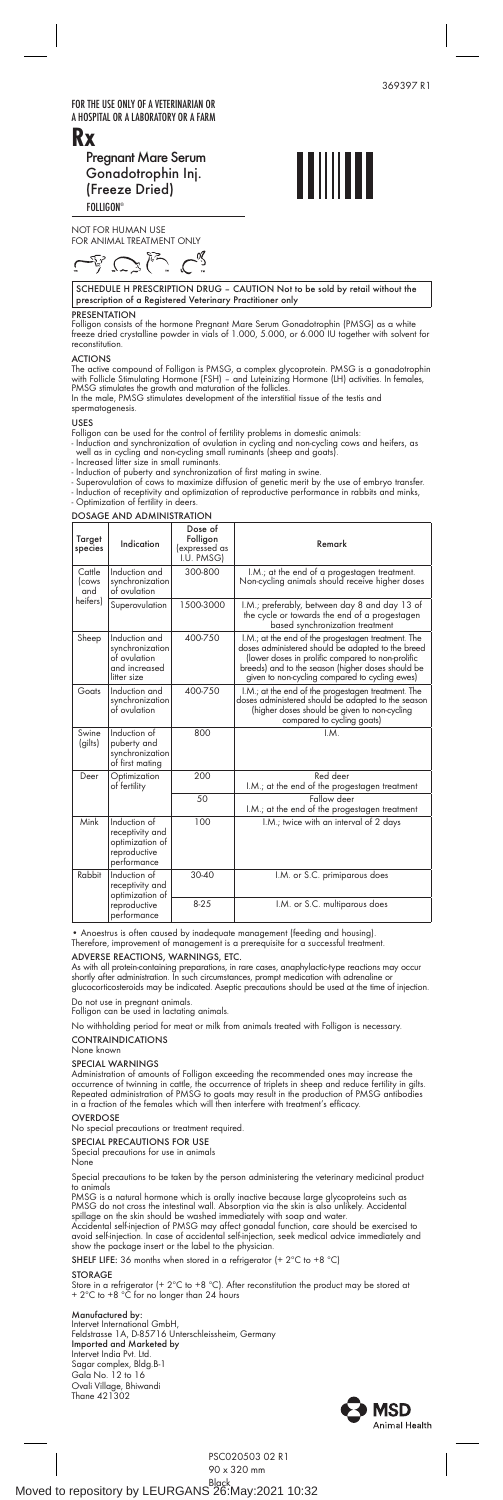FOR THE USE ONLY OF A VETERINARIAN OR A HOSPITAL OR A LABORATORY OR A FARM Rx

 Pregnant Mare Serum Gonadotrophin Inj. (Freeze Dried)  $FOLLIGON^{\alpha}$ 



NOT FOR HUMAN USE FOR ANIMAL TREATMENT ONLY

SCHEDULE H PRESCRIPTION DRUG – CAUTION Not to be sold by retail without the prescription of a Registered Veterinary Practitioner only

 $\overline{\phantom{a}}$ 

PRESENTATION Folligon consists of the hormone Pregnant Mare Serum Gonadotrophin (PMSG) as a white freeze dried crystalline powder in vials of 1.000, 5.000, or 6.000 IU together with solvent for reconstitution.

ACTIONS<br>The active compound of Folligon is PMSG, a complex glycoprotein. PMSG is a gonadotrophin<br>With Follicle Stimulating Hormone (FSH) – and Luteinizing Hormone (LH) activities. In females,<br>PMSG stimulates the growth and

- 
- 
- 
- USES<br>
Folligon can be used for the control of fertility problems in domestic animals:<br>
Folligon can be used for the control of ovulation in cycling and non-cycling cows and heifers, as<br>
 Induction and synchronization of o

| <b>DOSAGE AND ADMINISTRATION</b>         |                                                                                   |                                                    |                                                                                                                                                                                                                                                                     |
|------------------------------------------|-----------------------------------------------------------------------------------|----------------------------------------------------|---------------------------------------------------------------------------------------------------------------------------------------------------------------------------------------------------------------------------------------------------------------------|
| Target<br>species                        | Indication                                                                        | Dose of<br>Folligon<br>(expressed as<br>I.U. PMSGI | Remark                                                                                                                                                                                                                                                              |
| Cattle<br><i>cows</i><br>and<br>heifers) | Induction and<br>synchronization<br>of ovulation                                  | 300-800                                            | I.M.; at the end of a progestagen treatment.<br>Non-cycling animals should receive higher doses                                                                                                                                                                     |
|                                          | Superovulation                                                                    | 1500-3000                                          | I.M.; preferably, between day 8 and day 13 of<br>the cycle or towards the end of a progestagen<br>based synchronization treatment                                                                                                                                   |
| Sheep                                    | Induction and<br>synchronization<br>of ovulation<br>and increased<br>litter size  | 400-750                                            | I.M.; at the end of the progestagen treatment. The<br>doses administered should be adapted to the breed<br>(lower doses in prolific compared to non-prolific<br>breeds) and to the season (higher doses should be<br>given to non-cycling compared to cycling ewes) |
| Goats                                    | Induction and<br>synchronization<br>of ovulation                                  | 400-750                                            | I.M.; at the end of the progestagen treatment. The<br>doses administered should be adapted to the season<br>(higher doses should be given to non-cycling<br>compared to cycling goats)                                                                              |
| Swine<br>(gilts)                         | Induction of<br>puberty and<br>synchronization<br>of first mating                 | 800                                                | $M_{\odot}$                                                                                                                                                                                                                                                         |
| Deer                                     | Optimization<br>of fertility                                                      | 200                                                | Red deer<br>I.M.; at the end of the progestagen treatment                                                                                                                                                                                                           |
|                                          |                                                                                   | 50                                                 | Fallow deer<br>I.M.; at the end of the progestagen treatment                                                                                                                                                                                                        |
| Mink                                     | Induction of<br>receptivity and<br>optimization of<br>reproductive<br>performance | 100                                                | I.M.; twice with an interval of 2 days                                                                                                                                                                                                                              |
| Rabbit                                   | Induction of<br>receptivity and<br>optimization of                                | 30-40                                              | I.M. or S.C. primiparous does                                                                                                                                                                                                                                       |
|                                          | reproductive<br>performance                                                       | $8 - 2.5$                                          | I.M. or S.C. multiparous does                                                                                                                                                                                                                                       |

• Anoestrus is often caused by inadequate management (feeding and housing). Therefore, improvement of management is a prerequisite for a successful treatment.

ADVERSE REACTIONS, WARNINGS, ETC.<br>As with all protein-containing preparations, in rare cases, anaphylactic-type reactions may occur<br>shortly after administration. In such circumstances, prompt medication with adrenaline or<br>

Do not use in pregnant animals. Folligon can be used in lactating animals.

No withholding period for meat or milk from animals treated with Folligon is necessary. **CONTRAINDICATIONS** 

# None known

SPECIAL WARNINGS<br>Administration of amounts of Folligon exceeding the recommended ones may increase the<br>occurrence of twinning in cattle, the occurrence of triplets in sheep and reduce fertility in gilts.<br>Repeated administr

## **OVERDOSE**

cial precautions or treatment required.

SPECIAL PRECAUTIONS FOR USE

Special precautions for use in animals

Speci<br>None

Special precautions to be taken by the person administering the veterinary medicinal product

to animals<br>PMSG is a natural hormone which is orally inactive because large glycoproteins such as<br>PMSG is a natural hormone which is orally inactive because large glycoproteins such as<br>PMSG do not cross the intestinal wall

SHELF LIFE: 36 months when stored in a refrigerator (+ 2ºC to +8 ºC)

 $\overline{\phantom{a}}$ 

STORAGE Store in a refrigerator (+ 2ºC to +8 ºC). After reconstitution the product may be stored at + 2ºC to +8 ºC for no longer than 24 hours

Manufactured by:<br>Intervet International GmbH,<br>Feldstrasse 1A, D-85716 Unterschleissheim, Germany<br>Imported and Marketed by<br>Intervet India Pvt. Itd.<br>Sagar complex, Bldg.B-1<br>Gala No. 12 to 16<br>Orali Village, Bhiwandi<br>Thane 421



 $\overline{\phantom{a}}$ 

369397 R1

 $\overline{\phantom{a}}$ 

PSC020503 02 R1

90 x 320 mm